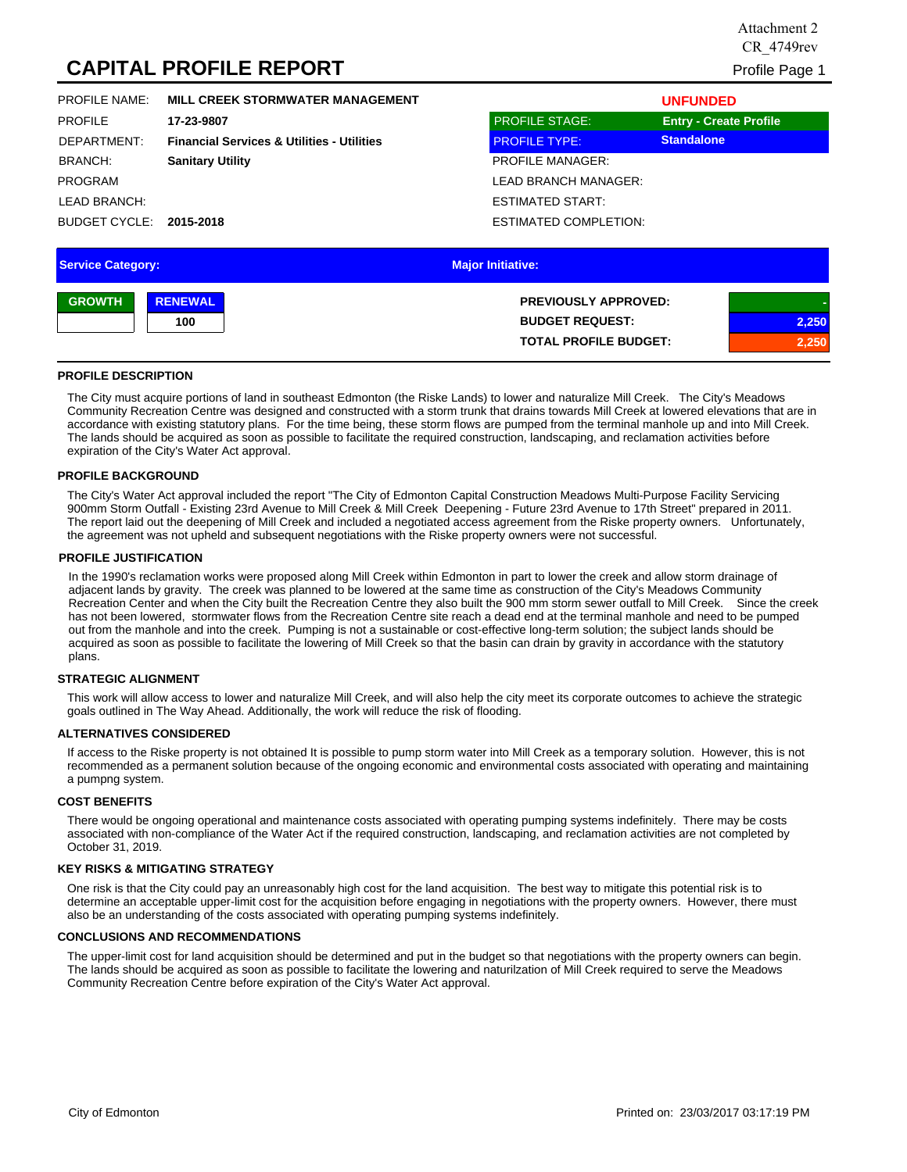# **CAPITAL PROFILE REPORT** Profile Page 1

| <b>PROFILE NAME:</b> | MILL CREEK STORMWATER MANAGEMENT                      |                              | <b>UNFUNDED</b>               |
|----------------------|-------------------------------------------------------|------------------------------|-------------------------------|
| <b>PROFILE</b>       | 17-23-9807                                            | <b>PROFILE STAGE:</b>        | <b>Entry - Create Profile</b> |
| DEPARTMENT:          | <b>Financial Services &amp; Utilities - Utilities</b> | <b>PROFILE TYPE:</b>         | <b>Standalone</b>             |
| BRANCH:              | <b>Sanitary Utility</b>                               | <b>PROFILE MANAGER:</b>      |                               |
| <b>PROGRAM</b>       |                                                       | LEAD BRANCH MANAGER:         |                               |
| LEAD BRANCH:         |                                                       | <b>ESTIMATED START:</b>      |                               |
| BUDGET CYCLE:        | 2015-2018                                             | <b>ESTIMATED COMPLETION:</b> |                               |
|                      |                                                       |                              |                               |

| <b>Service Category:</b> |                | <b>Major Initiative:</b>     |       |
|--------------------------|----------------|------------------------------|-------|
| <b>GROWTH</b>            | <b>RENEWAL</b> | <b>PREVIOUSLY APPROVED:</b>  |       |
|                          | 100            | <b>BUDGET REQUEST:</b>       | 2,250 |
|                          |                | <b>TOTAL PROFILE BUDGET:</b> | 2,250 |

## **PROFILE DESCRIPTION**

The City must acquire portions of land in southeast Edmonton (the Riske Lands) to lower and naturalize Mill Creek. The City's Meadows Community Recreation Centre was designed and constructed with a storm trunk that drains towards Mill Creek at lowered elevations that are in accordance with existing statutory plans. For the time being, these storm flows are pumped from the terminal manhole up and into Mill Creek. The lands should be acquired as soon as possible to facilitate the required construction, landscaping, and reclamation activities before expiration of the City's Water Act approval.

## **PROFILE BACKGROUND**

The City's Water Act approval included the report "The City of Edmonton Capital Construction Meadows Multi-Purpose Facility Servicing 900mm Storm Outfall - Existing 23rd Avenue to Mill Creek & Mill Creek Deepening - Future 23rd Avenue to 17th Street" prepared in 2011. The report laid out the deepening of Mill Creek and included a negotiated access agreement from the Riske property owners. Unfortunately, the agreement was not upheld and subsequent negotiations with the Riske property owners were not successful.

## **PROFILE JUSTIFICATION**

In the 1990's reclamation works were proposed along Mill Creek within Edmonton in part to lower the creek and allow storm drainage of adjacent lands by gravity. The creek was planned to be lowered at the same time as construction of the City's Meadows Community Recreation Center and when the City built the Recreation Centre they also built the 900 mm storm sewer outfall to Mill Creek. Since the creek has not been lowered, stormwater flows from the Recreation Centre site reach a dead end at the terminal manhole and need to be pumped out from the manhole and into the creek. Pumping is not a sustainable or cost-effective long-term solution; the subject lands should be acquired as soon as possible to facilitate the lowering of Mill Creek so that the basin can drain by gravity in accordance with the statutory plans.

## **STRATEGIC ALIGNMENT**

This work will allow access to lower and naturalize Mill Creek, and will also help the city meet its corporate outcomes to achieve the strategic goals outlined in The Way Ahead. Additionally, the work will reduce the risk of flooding.

## **ALTERNATIVES CONSIDERED**

If access to the Riske property is not obtained It is possible to pump storm water into Mill Creek as a temporary solution. However, this is not recommended as a permanent solution because of the ongoing economic and environmental costs associated with operating and maintaining a pumpng system.

## **COST BENEFITS**

There would be ongoing operational and maintenance costs associated with operating pumping systems indefinitely. There may be costs associated with non-compliance of the Water Act if the required construction, landscaping, and reclamation activities are not completed by October 31, 2019.

## **KEY RISKS & MITIGATING STRATEGY**

One risk is that the City could pay an unreasonably high cost for the land acquisition. The best way to mitigate this potential risk is to determine an acceptable upper-limit cost for the acquisition before engaging in negotiations with the property owners. However, there must also be an understanding of the costs associated with operating pumping systems indefinitely.

## **CONCLUSIONS AND RECOMMENDATIONS**

The upper-limit cost for land acquisition should be determined and put in the budget so that negotiations with the property owners can begin. The lands should be acquired as soon as possible to facilitate the lowering and naturilzation of Mill Creek required to serve the Meadows Community Recreation Centre before expiration of the City's Water Act approval.